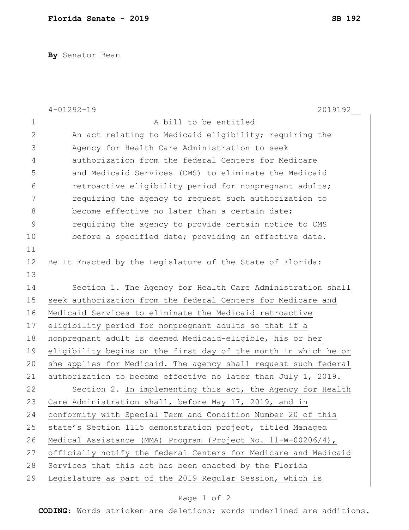**By** Senator Bean

|              | 2019192<br>$4 - 01292 - 19$                                     |  |  |  |  |  |  |  |  |  |
|--------------|-----------------------------------------------------------------|--|--|--|--|--|--|--|--|--|
| $\mathbf 1$  | A bill to be entitled                                           |  |  |  |  |  |  |  |  |  |
| $\mathbf{2}$ | An act relating to Medicaid eligibility; requiring the          |  |  |  |  |  |  |  |  |  |
| 3            | Agency for Health Care Administration to seek                   |  |  |  |  |  |  |  |  |  |
| 4            | authorization from the federal Centers for Medicare             |  |  |  |  |  |  |  |  |  |
| 5            | and Medicaid Services (CMS) to eliminate the Medicaid           |  |  |  |  |  |  |  |  |  |
| 6            | retroactive eligibility period for nonpregnant adults;          |  |  |  |  |  |  |  |  |  |
| 7            | requiring the agency to request such authorization to           |  |  |  |  |  |  |  |  |  |
| $\,8\,$      | become effective no later than a certain date;                  |  |  |  |  |  |  |  |  |  |
| $\mathsf 9$  | requiring the agency to provide certain notice to CMS           |  |  |  |  |  |  |  |  |  |
| 10           | before a specified date; providing an effective date.           |  |  |  |  |  |  |  |  |  |
| 11           |                                                                 |  |  |  |  |  |  |  |  |  |
| 12           | Be It Enacted by the Legislature of the State of Florida:       |  |  |  |  |  |  |  |  |  |
| 13           |                                                                 |  |  |  |  |  |  |  |  |  |
| 14           | Section 1. The Agency for Health Care Administration shall      |  |  |  |  |  |  |  |  |  |
| 15           | seek authorization from the federal Centers for Medicare and    |  |  |  |  |  |  |  |  |  |
| 16           | Medicaid Services to eliminate the Medicaid retroactive         |  |  |  |  |  |  |  |  |  |
| 17           | eligibility period for nonpregnant adults so that if a          |  |  |  |  |  |  |  |  |  |
| 18           | nonpregnant adult is deemed Medicaid-eligible, his or her       |  |  |  |  |  |  |  |  |  |
| 19           | eligibility begins on the first day of the month in which he or |  |  |  |  |  |  |  |  |  |
| 20           | she applies for Medicaid. The agency shall request such federal |  |  |  |  |  |  |  |  |  |
| 21           | authorization to become effective no later than July 1, 2019.   |  |  |  |  |  |  |  |  |  |
| 22           | Section 2. In implementing this act, the Agency for Health      |  |  |  |  |  |  |  |  |  |
| 23           | Care Administration shall, before May 17, 2019, and in          |  |  |  |  |  |  |  |  |  |
| 24           | conformity with Special Term and Condition Number 20 of this    |  |  |  |  |  |  |  |  |  |
| 25           | state's Section 1115 demonstration project, titled Managed      |  |  |  |  |  |  |  |  |  |
| 26           | Medical Assistance (MMA) Program (Project No. $11-W-00206/4$ ), |  |  |  |  |  |  |  |  |  |
| 27           | officially notify the federal Centers for Medicare and Medicaid |  |  |  |  |  |  |  |  |  |
| 28           | Services that this act has been enacted by the Florida          |  |  |  |  |  |  |  |  |  |
| 29           | Legislature as part of the 2019 Regular Session, which is       |  |  |  |  |  |  |  |  |  |

## Page 1 of 2

**CODING**: Words stricken are deletions; words underlined are additions.